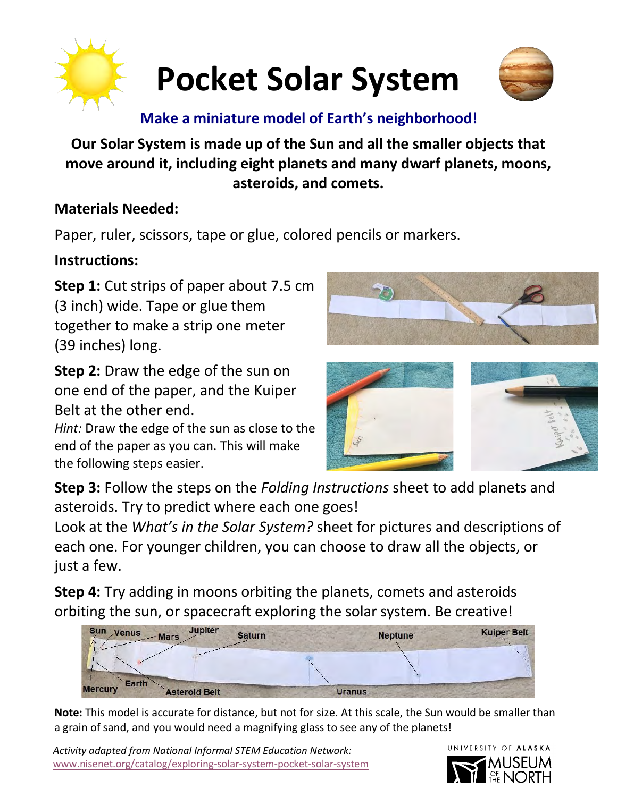

# **Pocket Solar System**



#### **Make a miniature model of Earth's neighborhood!**

#### **Our Solar System is made up of the Sun and all the smaller objects that move around it, including eight planets and many dwarf planets, moons, asteroids, and comets.**

#### **Materials Needed:**

Paper, ruler, scissors, tape or glue, colored pencils or markers.

#### **Instructions:**

**Step 1:** Cut strips of paper about 7.5 cm (3 inch) wide. Tape or glue them together to make a strip one meter (39 inches) long.

**Step 2:** Draw the edge of the sun on one end of the paper, and the Kuiper Belt at the other end.

*Hint:* Draw the edge of the sun as close to the end of the paper as you can. This will make the following steps easier.





**Step 3:** Follow the steps on the *Folding Instructions* sheet to add planets and asteroids. Try to predict where each one goes!

Look at the *What's in the Solar System?* sheet for pictures and descriptions of each one. For younger children, you can choose to draw all the objects, or just a few.

**Step 4:** Try adding in moons orbiting the planets, comets and asteroids orbiting the sun, or spacecraft exploring the solar system. Be creative!

| <b>Jupiter</b><br>Sun Venus<br>$-Mars$<br><b>Saturn</b> | <b>Neptune</b> | <b>Kuiper Belt</b> |
|---------------------------------------------------------|----------------|--------------------|
|                                                         |                |                    |
| Earth<br><b>Mercury</b><br><b>Asteroid Belt</b>         | <b>Uranus</b>  |                    |

**Note:** This model is accurate for distance, but not for size. At this scale, the Sun would be smaller than a grain of sand, and you would need a magnifying glass to see any of the planets!

*Activity adapted from National Informal STEM Education Network:*  [www.nisenet.org/catalog/exploring-solar-system-pocket-solar-system](https://www.nisenet.org/catalog/exploring-solar-system-pocket-solar-system)

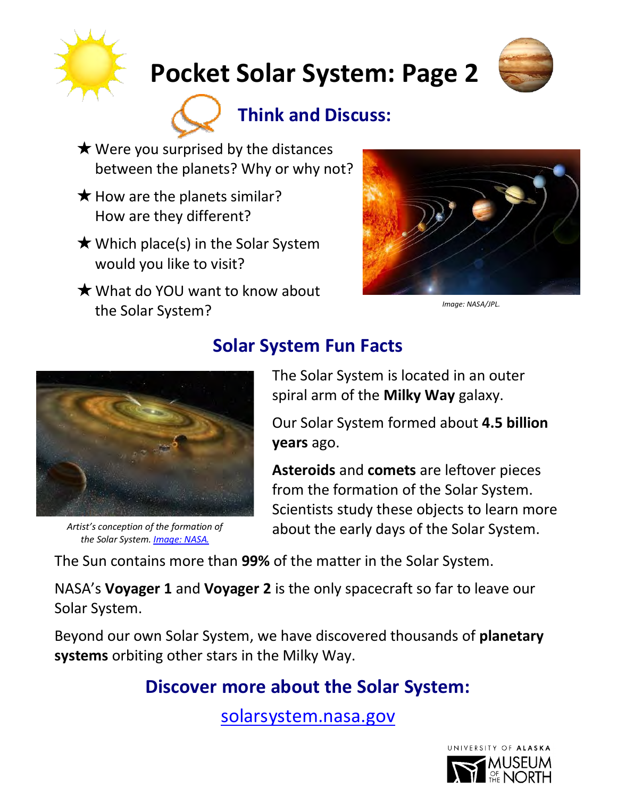

# **Pocket Solar System: Page 2**





- $\star$  Were you surprised by the distances between the planets? Why or why not?
- $\star$  How are the planets similar? How are they different?
- $\star$  Which place(s) in the Solar System would you like to visit?
- $\bigstar$  What do YOU want to know about the Solar System? *Image: NASA/JPL.*





*the Solar System. [Image: NASA.](https://mobile.arc.nasa.gov/public/iexplore/missions/pages/yss/november.html)*

### **Solar System Fun Facts**

The Solar System is located in an outer spiral arm of the **Milky Way** galaxy.

Our Solar System formed about **4.5 billion years** ago.

**Asteroids** and **comets** are leftover pieces from the formation of the Solar System. Scientists study these objects to learn more about the early days of the Solar System. *Artist's conception of the formation of* 

The Sun contains more than **99%** of the matter in the Solar System.

NASA's **Voyager 1** and **Voyager 2** is the only spacecraft so far to leave our Solar System.

Beyond our own Solar System, we have discovered thousands of **planetary systems** orbiting other stars in the Milky Way.

### **Discover more about the Solar System:**

[solarsystem.nasa.gov](https://solarsystem.nasa.gov/)

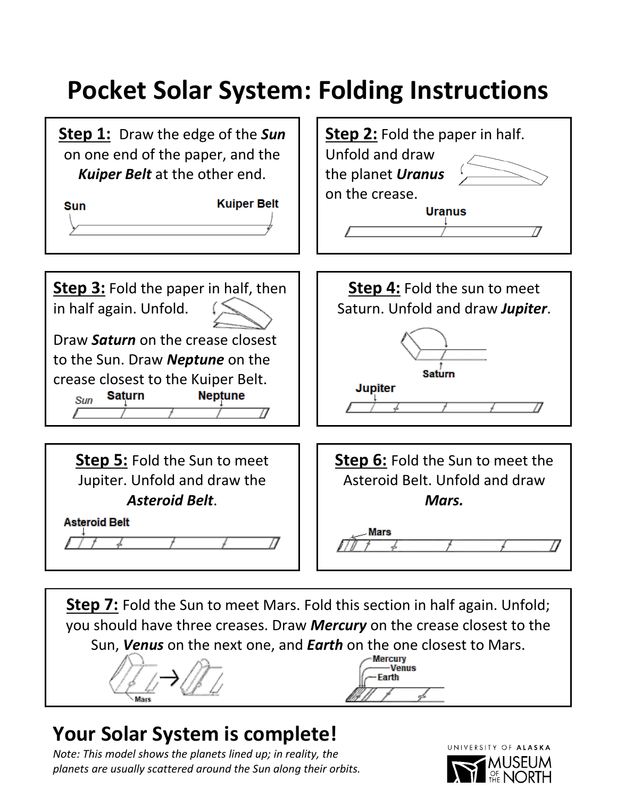## **Pocket Solar System: Folding Instructions**



**Step 7:** Fold the Sun to meet Mars. Fold this section in half again. Unfold; you should have three creases. Draw *Mercury* on the crease closest to the Sun, *Venus* on the next one, and *Earth* on the one closest to Mars.

Venus Farth

## **Your Solar System is complete!**

*Note: This model shows the planets lined up; in reality, the planets are usually scattered around the Sun along their orbits.* 

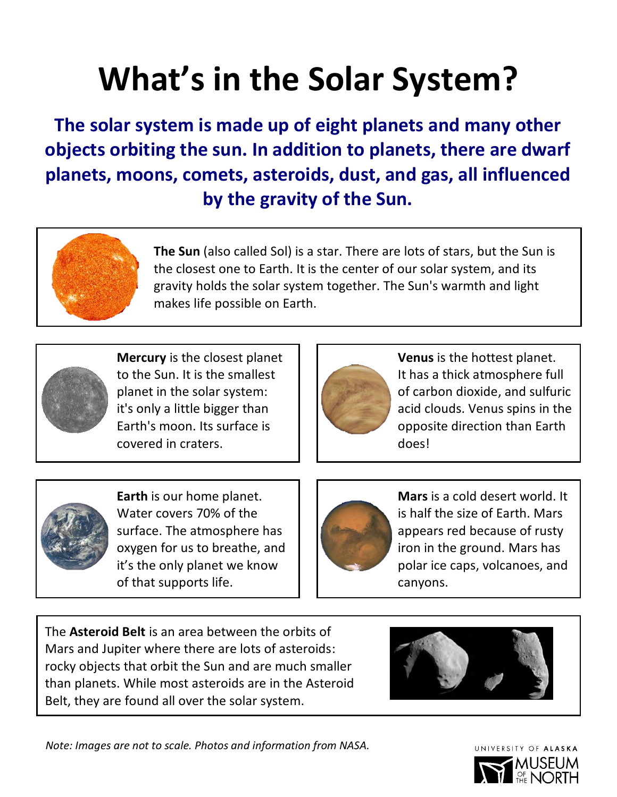# **What's in the Solar System?**

**The solar system is made up of eight planets and many other objects orbiting the sun. In addition to planets, there are dwarf planets, moons, comets, asteroids, dust, and gas, all influenced by the gravity of the Sun.** 



**The Sun** (also called Sol) is a star. There are lots of stars, but the Sun is the closest one to Earth. It is the center of our solar system, and its gravity holds the solar system together. The Sun's warmth and light makes life possible on Earth.



**Mercury** is the closest planet to the Sun. It is the smallest planet in the solar system: it's only a little bigger than Earth's moon. Its surface is covered in craters.



**Venus** is the hottest planet. It has a thick atmosphere full of carbon dioxide, and sulfuric acid clouds. Venus spins in the opposite direction than Earth does!



**Earth** is our home planet. Water covers 70% of the surface. The atmosphere has oxygen for us to breathe, and it's the only planet we know of that supports life.



**Mars** is a cold desert world. It is half the size of Earth. Mars appears red because of rusty iron in the ground. Mars has polar ice caps, volcanoes, and canyons.

The **Asteroid Belt** is an area between the orbits of Mars and Jupiter where there are lots of asteroids: rocky objects that orbit the Sun and are much smaller than planets. While most asteroids are in the Asteroid Belt, they are found all over the solar system.



*Note: Images are not to scale. Photos and information from NASA.*